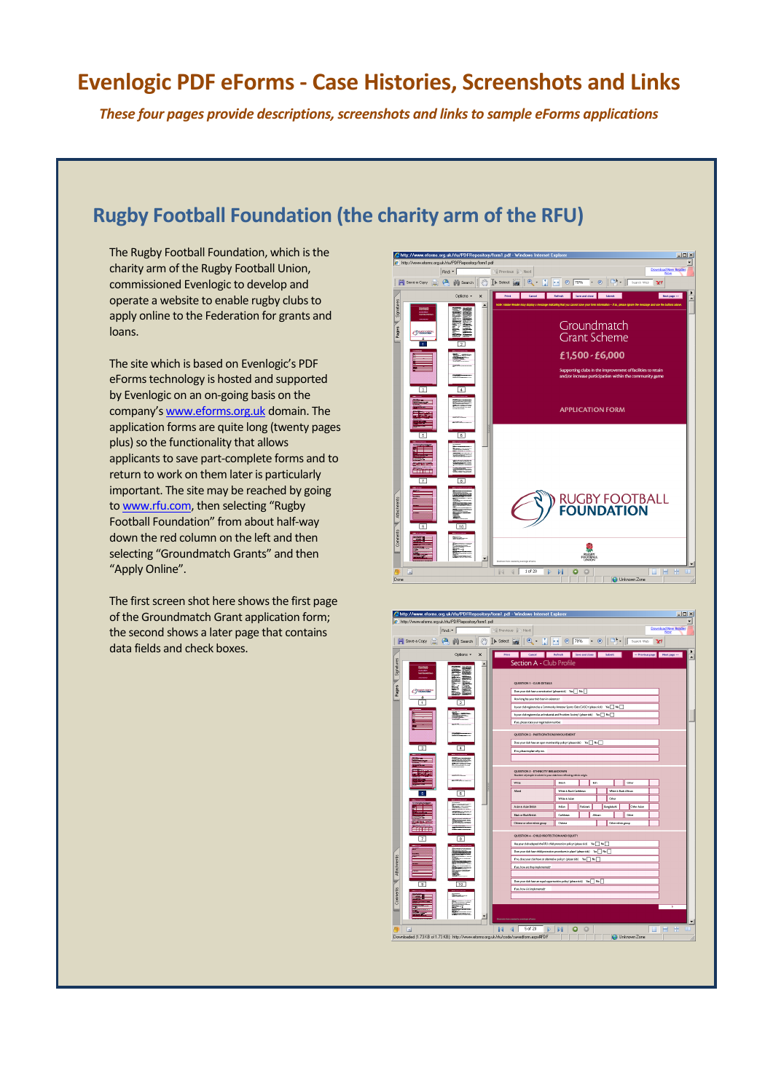# **Evenlogic PDF eForms - Case Histories, Screenshots and Links**

*These four pages provide descriptions, screenshots and links to sample eForms applications*

# **Rugby Football Foundation (the charity arm of the RFU)**

The Rugby Football Foundation, which is the charity arm of the Rugby Football Union, commissioned Evenlogic to develop and operate a website to enable rugby clubs to apply online to the Federation for grants and loans.

The site which is based on Evenlogic's PDF eForms technology is hosted and supported by Evenlogic on an on-going basis on the company's [www.eforms.org.uk](http://www.eforms.org.uk/) domain. The application forms are quite long (twenty pages plus) so the functionality that allows applicants to save part-complete forms and to return to work on them later is particularly important. The site may be reached by going to [www.rfu.com,](http://www.rfu.com/) then selecting "Rugby Football Foundation" from about half-way down the red column on the left and then selecting "Groundmatch Grants" and then "Apply Online".

The first screen shot here shows the first page of the Groundmatch Grant application form; the second shows a later page that contains data fields and check boxes.



|                                 | e http://www.eforms.org.uk/rfu/PDFRepository/form1.pdf<br>Find: * | <b>EX Previous Ex Next</b>                             |                                                                                                                           |          |                              |                       | <b>Download New Reader</b>      |        |
|---------------------------------|-------------------------------------------------------------------|--------------------------------------------------------|---------------------------------------------------------------------------------------------------------------------------|----------|------------------------------|-----------------------|---------------------------------|--------|
| Save a Copy (C) (C) blue Search | $\sqrt{m}$                                                        |                                                        |                                                                                                                           |          | $\cdot$ 0 $\circ$ 1          |                       | Now                             |        |
|                                 |                                                                   |                                                        |                                                                                                                           |          |                              | Search Web            | ¥1                              |        |
|                                 | Options -<br>$\times$                                             | Print                                                  | Cancel Refresh Save and close Schmitt                                                                                     |          |                              |                       | « Previous page<br>Hext page >> |        |
|                                 | $\blacktriangle$                                                  |                                                        | Section A - Club Profile                                                                                                  |          |                              |                       |                                 |        |
|                                 | ≕                                                                 |                                                        |                                                                                                                           |          |                              |                       |                                 |        |
|                                 | 1723                                                              |                                                        | <b>OUESTION 1 - CLUB DETAILS</b>                                                                                          |          |                              |                       |                                 |        |
| OWNER                           |                                                                   |                                                        | Does your dish have a constitution! (please tick) Yis   No<br>How long has your dish been in existence?                   |          |                              |                       |                                 |        |
| $\overline{1}$                  | $\overline{2}$                                                    |                                                        | byour club registered as a Community Amazeur Sports Club (CASC) t(please tick) Yes   No                                   |          |                              |                       |                                 |        |
|                                 |                                                                   |                                                        | kyour club registered as an inclustrial and Provident Society! (please sick) No   No                                      |          |                              |                       |                                 |        |
|                                 |                                                                   |                                                        | Fyer, please state your registration number.                                                                              |          |                              |                       |                                 |        |
|                                 |                                                                   |                                                        | QUESTION 2 - PARTICIPATION/INVOLVEMENT                                                                                    |          |                              |                       |                                 |        |
|                                 |                                                                   |                                                        | Does your dub have an open membership policy? (please tids) Yas   No                                                      |          |                              |                       |                                 |        |
| 3                               | 4                                                                 | Fina please explain whence.                            |                                                                                                                           |          |                              |                       |                                 |        |
| m.                              |                                                                   |                                                        |                                                                                                                           |          |                              |                       |                                 |        |
|                                 |                                                                   |                                                        | OUESTION 3 - ETHNICITY BREAKDOWN<br>Number of people involved in your club best reflecting edvnic origin.                 |          |                              |                       |                                 |        |
|                                 |                                                                   | White                                                  | <b>Bringle</b>                                                                                                            |          | Ho.                          | Other                 |                                 |        |
| 5                               | 6                                                                 | Mind                                                   | White & Black Caribbean                                                                                                   |          |                              | White & Black African |                                 |        |
|                                 |                                                                   |                                                        | White & Asian                                                                                                             |          | Othe                         |                       |                                 |        |
|                                 |                                                                   | Asian & Asian British<br><b>Black or Black British</b> | Indian<br>Caribbean                                                                                                       | Fokkeari | <b>Bangladchi</b><br>African | Other Azian<br>Other  |                                 |        |
| <b>STATISTICS</b>               |                                                                   | Chinese or other ethnic group                          | China                                                                                                                     |          |                              | Other ethnic group    |                                 |        |
| ;;;;;;;;                        |                                                                   |                                                        |                                                                                                                           |          |                              |                       |                                 |        |
| $\overline{7}$                  | ঢ়া                                                               |                                                        | QUESTION 4 - CHILD PROTECTION AND EQUITY<br>Has your club adopted the RFU child protection policy! (please tick) Yes   No |          |                              |                       |                                 |        |
|                                 |                                                                   |                                                        | Does your dub have child protection procedures in place? (please olds) No No No                                           |          |                              |                       |                                 |        |
|                                 |                                                                   |                                                        | Fina, does your club have an alternative policy! (please tids) Yes [7] No [7]                                             |          |                              |                       |                                 |        |
|                                 | <b>County</b><br>us.                                              |                                                        | Fyer, how are they implemented?                                                                                           |          |                              |                       |                                 |        |
|                                 |                                                                   |                                                        | Does your dub have an equal opportunities policy! (please tick) Yes   No                                                  |          |                              |                       |                                 |        |
| $\overline{9}$                  | 10                                                                | Fyer, how is it implemented?                           |                                                                                                                           |          |                              |                       |                                 |        |
|                                 | 100.0                                                             |                                                        |                                                                                                                           |          |                              |                       |                                 |        |
|                                 | 4                                                                 |                                                        |                                                                                                                           |          |                              |                       | ś                               |        |
|                                 |                                                                   | n arealist by evenings of com-                         |                                                                                                                           |          |                              |                       |                                 |        |
| ы                               |                                                                   | 5 of 20<br>K<br>4                                      | ۰                                                                                                                         | G        |                              |                       | ш<br>н                          | H<br>Œ |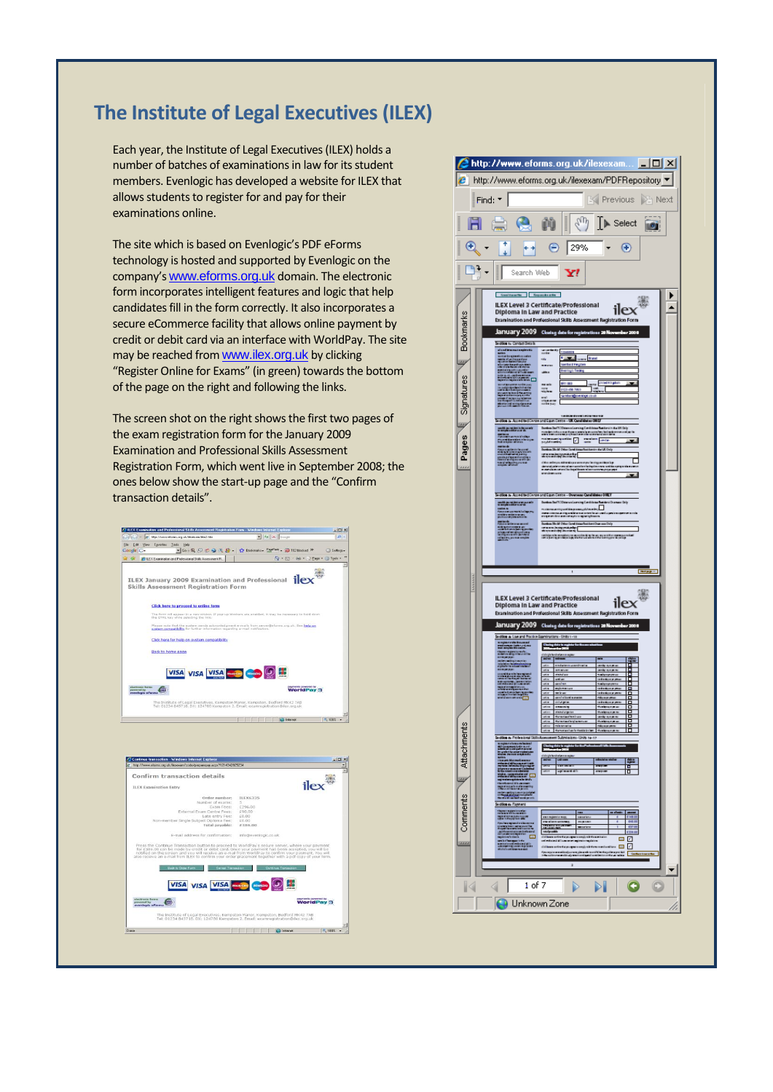### **The Institute of Legal Executives (ILEX)**

Each year, the Institute of Legal Executives (ILEX) holds a number of batches of examinations in law for its student members. Evenlogic has developed a website for ILEX that allows students to register for and pay for their examinations online.

The site which is based on Evenlogic's PDF eForms technology is hosted and supported by Evenlogic on the company's [www.eforms.org.uk](http://www.eforms.org.uk/) domain. The electronic form incorporates intelligent features and logic that help candidates fill in the form correctly. It also incorporates a secure eCommerce facility that allows online payment by credit or debit card via an interface with WorldPay. The site may be reached from [www.ilex.org.uk](http://www.ilex.org.uk/) by clicking "Register Online for Exams" (in green) towards the bottom of the page on the right and following the links.

The screen shot on the right shows the first two pages of the exam registration form for the January 2009 Examination and Professional Skills Assessment Registration Form, which went live in September 2008; the ones below show the start-up page and the "Confirm transaction details".





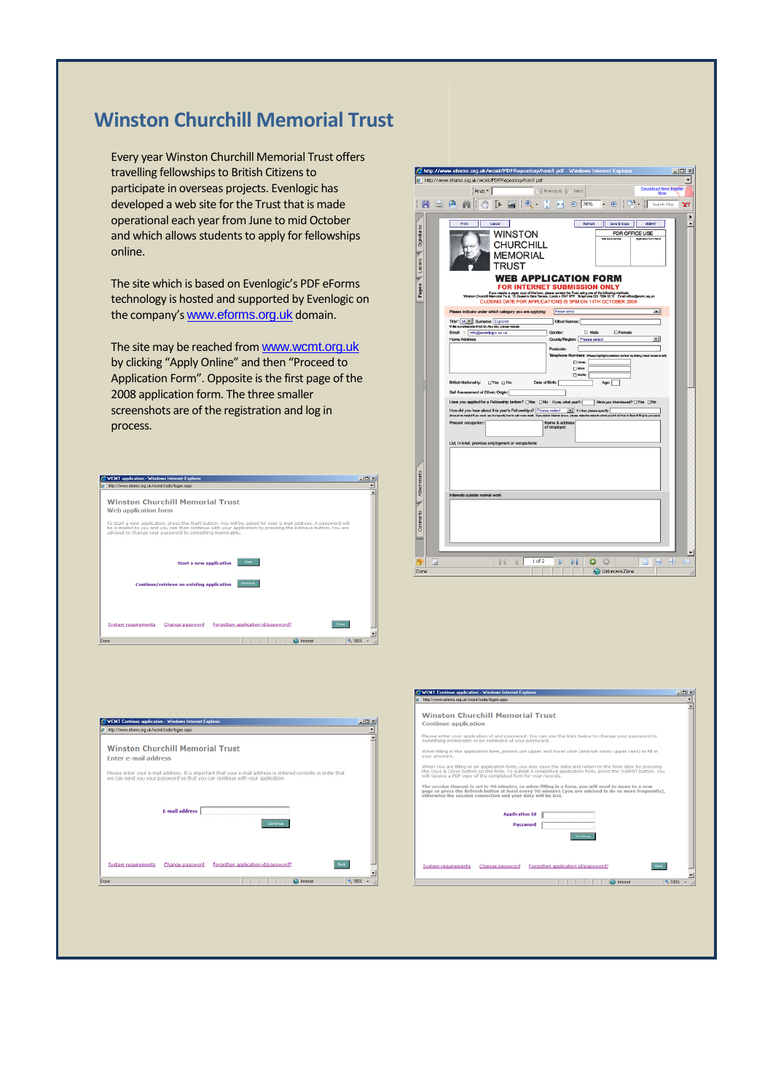#### **Winston Churchill Memorial Trust**

Every year Winston Churchill Memorial Trust offers travelling fellowships to British Citizens to participate in overseas projects. Evenlogic has developed a web site for the Trust that is made operational each year from June to mid October and which allows students to apply for fellowships online.

The site which is based on Evenlogic's PDF eForms technology is hosted and supported by Evenlogic on the company's [www.eforms.org.uk](http://www.eforms.org.uk/) domain.

The site may be reached from [www.wcmt.org.uk](http://www.wcmt.org.uk/) by clicking "Apply Online" and then "Proceed to Application Form". Opposite is the first page of the 2008 application form. The three smaller screenshots are of the registration and log in process.

| $\Box$ |
|--------|
| ۰      |
|        |
|        |
|        |
|        |
|        |
| 九 100% |
|        |



| http://www.eforms.org.uk/wcmt/PDFRepository/form1.pdf - Windows Internet Explorer                                                                                                                                                                                                              | – I⊡I ×                                        |
|------------------------------------------------------------------------------------------------------------------------------------------------------------------------------------------------------------------------------------------------------------------------------------------------|------------------------------------------------|
| http://www.eforms.org.uk/wcmt/PDFRepository/form1.pdf                                                                                                                                                                                                                                          | <b>Download New Reader</b>                     |
| Previous <b>Philadel</b><br>Find: *                                                                                                                                                                                                                                                            | Now                                            |
| ρm<br>$\leftrightarrow$ $\ominus$ 70%<br>$\left( +\right)$<br>$\bigcirc$<br>Ħ<br>101                                                                                                                                                                                                           | ۹3<br>Search Web<br>¥!                         |
|                                                                                                                                                                                                                                                                                                | ١                                              |
| Print<br>Cancel<br>Refresh<br>Save & Close                                                                                                                                                                                                                                                     | SUBMIT<br>▴                                    |
| Signatures<br><b>WINSTON</b><br><b>Belgamen Marsha</b>                                                                                                                                                                                                                                         | FOR OFFICE USE<br><b>And other from Barris</b> |
| <b>CHURCHILL</b>                                                                                                                                                                                                                                                                               |                                                |
| <b>MEMORIAL</b>                                                                                                                                                                                                                                                                                |                                                |
| <b>Layers</b><br>TRUST                                                                                                                                                                                                                                                                         |                                                |
| <b>WEB APPLICATION FORM</b>                                                                                                                                                                                                                                                                    |                                                |
| Pages<br><b>FOR INTERNET SUBMISSION ONLY</b>                                                                                                                                                                                                                                                   |                                                |
| If you require a paper copy of this form, please contact the Trust using one of the following methods:<br>Winston Chunchill Memorial Trust, 16, Queen's Gate Terrace, London SW7 SPR Telephone 020 7584 9315 Email office@word.or<br>CLOSING DATE FOR APPLICATIONS IS 5PM ON 14TH OCTOBER 2008 |                                                |
| Please indicate under which category you are applying:<br>Please select                                                                                                                                                                                                                        | 工                                              |
| Title*: Mux Sumame: Explorer<br>Other Names:                                                                                                                                                                                                                                                   |                                                |
| 1f title is professional (Prof. Dr. Rev. eb.), please indicate<br>$\Box$ Male<br>Email : info@evenlogic.co.uk<br>Gender:<br>□ Fomale                                                                                                                                                           |                                                |
| Home Address:<br>County/Region: Please select                                                                                                                                                                                                                                                  | ▾∣                                             |
| Postcode:                                                                                                                                                                                                                                                                                      |                                                |
| Tel ephone Numbers: (Please highlight preferred number by ticking check boxes to k<br>□ Home:                                                                                                                                                                                                  |                                                |
| □ Work:                                                                                                                                                                                                                                                                                        |                                                |
| $\Box$ Mobile:<br>British Nationality:<br>$\Box$ Yes $\Box$ No<br>Date of Birth:<br>Ago:                                                                                                                                                                                                       |                                                |
| Self Assessment of Ethnic Origin:                                                                                                                                                                                                                                                              |                                                |
| Have you applied for a Fellowship before? □Yes □No If yes, what year?:                                                                                                                                                                                                                         | Were you interviewed? Nes No                   |
| How did you hear about this year's Fellowships? Please select<br>v detec please specify.<br>es state the website which you linked from ar Search Engine you used).<br>(it would be helpful if you could use the 'specify' bax to add mare detail. If you select internet above, plea           |                                                |
| Present occupation:<br>Name & address                                                                                                                                                                                                                                                          |                                                |
| of employer:                                                                                                                                                                                                                                                                                   |                                                |
| List, in brief, previous employment or occupations:                                                                                                                                                                                                                                            |                                                |
|                                                                                                                                                                                                                                                                                                |                                                |
|                                                                                                                                                                                                                                                                                                |                                                |
|                                                                                                                                                                                                                                                                                                |                                                |
| Attachments                                                                                                                                                                                                                                                                                    |                                                |
| Interests outside normal work                                                                                                                                                                                                                                                                  |                                                |
|                                                                                                                                                                                                                                                                                                |                                                |
|                                                                                                                                                                                                                                                                                                |                                                |
| Comments                                                                                                                                                                                                                                                                                       |                                                |
|                                                                                                                                                                                                                                                                                                |                                                |
|                                                                                                                                                                                                                                                                                                |                                                |
|                                                                                                                                                                                                                                                                                                | $\blacktriangledown$                           |
| 1 of 2<br>o<br>М,<br>E<br>K<br>4                                                                                                                                                                                                                                                               | ж<br><b>OD</b><br>-                            |
| Done<br>Unknown Zone                                                                                                                                                                                                                                                                           |                                                |

| WCMT Continue application - Windows Internet Explorer                                                                                                                                                                                                                                       | $ \Box$ |  |  |  |  |
|---------------------------------------------------------------------------------------------------------------------------------------------------------------------------------------------------------------------------------------------------------------------------------------------|---------|--|--|--|--|
| C http://www.eforms.org.uk/wcmt/code/logon.aspx                                                                                                                                                                                                                                             |         |  |  |  |  |
| <b>Winston Churchill Memorial Trust</b>                                                                                                                                                                                                                                                     |         |  |  |  |  |
| <b>Continue application</b>                                                                                                                                                                                                                                                                 |         |  |  |  |  |
| Please enter your application id and password. You can use the links below to change your password to<br>something memorable or be reminded of your password.                                                                                                                               |         |  |  |  |  |
| When filling in the application form, please use upper and lower case (and not solely upper case) to fill in<br>your answers.                                                                                                                                                               |         |  |  |  |  |
| When you are filling in an application form, you may save the data and return to the form later by pressing<br>the Save & Close button on the form. To submit a completed application form, press the SUBMIT button. You<br>will receive a PDF copy of the completed form for your records. |         |  |  |  |  |
| The session timeout is set to 90 minutes, so when filling in a form, you will need to move to a new<br>page or press the Refresh button at least every 90 minutes (you are advised to do so more frequently),<br>otherwise the session connection and your data will be lost.               |         |  |  |  |  |
| <b>Application Id</b>                                                                                                                                                                                                                                                                       |         |  |  |  |  |
| <b>Password</b>                                                                                                                                                                                                                                                                             |         |  |  |  |  |
| Continue                                                                                                                                                                                                                                                                                    |         |  |  |  |  |
|                                                                                                                                                                                                                                                                                             |         |  |  |  |  |
|                                                                                                                                                                                                                                                                                             |         |  |  |  |  |
| <b>Back</b><br>Forgotten application id/password?<br><b>System requirements</b><br>Change password                                                                                                                                                                                          |         |  |  |  |  |
| $+2,100%$<br><b>CD</b> Internet                                                                                                                                                                                                                                                             |         |  |  |  |  |
|                                                                                                                                                                                                                                                                                             |         |  |  |  |  |